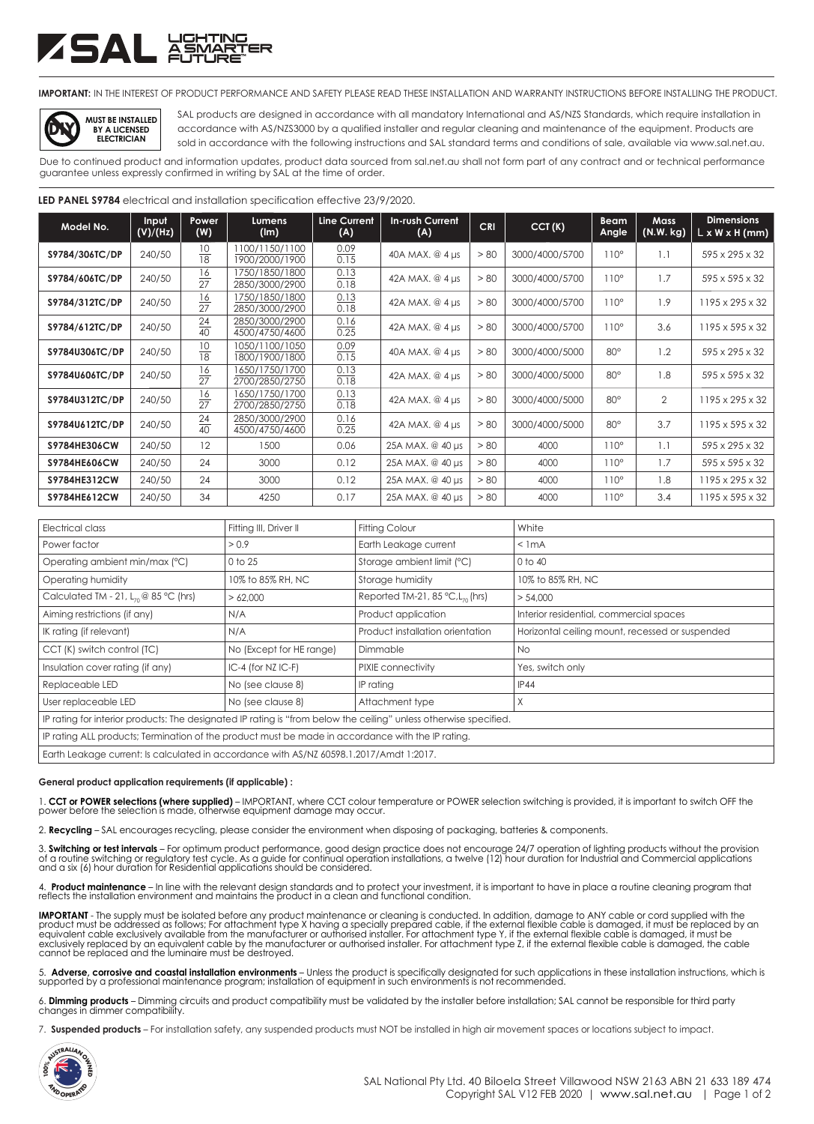# 5A L 모호

**IMPORTANT:** IN THE INTEREST OF PRODUCT PERFORMANCE AND SAFETY PLEASE READ THESE INSTALLATION AND WARRANTY INSTRUCTIONS BEFORE INSTALLING THE PRODUCT.

**MUST BE INSTALLED BY A LICENSED ELECTRICIAN DIY**

SAL products are designed in accordance with all mandatory International and AS/NZS Standards, which require installation in accordance with AS/NZS3000 by a qualified installer and regular cleaning and maintenance of the equipment. Products are sold in accordance with the following instructions and SAL standard terms and conditions of sale, available via www.sal.net.au.

Due to continued product and information updates, product data sourced from sal.net.au shall not form part of any contract and or technical performance guarantee unless expressly confirmed in writing by SAL at the time of order.

## **LED PANEL S9784** electrical and installation specification effective 23/9/2020.

| Model No.           | Input<br>(V)/(Hz) | Power<br>(W)          | Lumens<br>(lm)                   | <b>Line Current</b><br>(A) | <b>In-rush Current</b><br>(A) | <b>CRI</b> | CCT(K)         | <b>Beam</b><br>Angle | <b>Mass</b><br>(N.W. kg) | <b>Dimensions</b><br>$L \times W \times H$ (mm) |
|---------------------|-------------------|-----------------------|----------------------------------|----------------------------|-------------------------------|------------|----------------|----------------------|--------------------------|-------------------------------------------------|
| S9784/306TC/DP      | 240/50            | 10<br>18              | 1100/1150/1100<br>1900/2000/1900 | 0.09<br>0.15               | 40A MAX, @ 4 µs               | > 80       | 3000/4000/5700 | $110^\circ$          | 1.1                      | 595 x 295 x 32                                  |
| \$9784/606TC/DP     | 240/50            | 16<br>27              | 1750/1850/1800<br>2850/3000/2900 | 0.13<br>0.18               | 42A MAX, @ 4 µs               | > 80       | 3000/4000/5700 | $110^\circ$          | 1.7                      | 595 x 595 x 32                                  |
| \$9784/312TC/DP     | 240/50            | $\frac{16}{27}$       | 1750/1850/1800<br>2850/3000/2900 | 0.13<br>0.18               | 42A MAX, @ 4 µs               | > 80       | 3000/4000/5700 | $110^\circ$          | 1.9                      | $1195 \times 295 \times 32$                     |
| \$9784/612TC/DP     | 240/50            | $\overline{24}$<br>40 | 2850/3000/2900<br>4500/4750/4600 | 0.16<br>0.25               | 42A MAX, @ 4 µs               | > 80       | 3000/4000/5700 | $110^\circ$          | 3.6                      | 1195 x 595 x 32                                 |
| \$9784U306TC/DP     | 240/50            | 10<br>18              | 1050/1100/1050<br>1800/1900/1800 | 0.09<br>0.15               | 40A MAX, @ 4 µs               | > 80       | 3000/4000/5000 | $80^\circ$           | 1.2                      | 595 x 295 x 32                                  |
| \$9784U606TC/DP     | 240/50            | $\frac{16}{27}$       | 1650/1750/1700<br>2700/2850/2750 | 0.13<br>0.18               | 42A MAX, @ 4 µs               | > 80       | 3000/4000/5000 | $80^\circ$           | 1.8                      | 595 x 595 x 32                                  |
| \$9784U312TC/DP     | 240/50            | $\frac{16}{27}$       | 1650/1750/1700<br>2700/2850/2750 | 0.13<br>0.18               | 42A MAX, @ 4 µs               | > 80       | 3000/4000/5000 | $80^\circ$           | $\overline{2}$           | 1195 x 295 x 32                                 |
| \$9784U612TC/DP     | 240/50            | $\frac{24}{40}$       | 2850/3000/2900<br>4500/4750/4600 | 0.16<br>$\overline{0.25}$  | 42A MAX, @ 4 µs               | > 80       | 3000/4000/5000 | $80^\circ$           | 3.7                      | 1195 x 595 x 32                                 |
| <b>S9784HE306CW</b> | 240/50            | 12                    | 1500                             | 0.06                       | 25A MAX, @ 40 µs              | > 80       | 4000           | $110^\circ$          | 1.1                      | 595 x 295 x 32                                  |
| <b>S9784HE606CW</b> | 240/50            | 24                    | 3000                             | 0.12                       | 25A MAX, @ 40 µs              | > 80       | 4000           | $110^\circ$          | 1.7                      | 595 x 595 x 32                                  |
| S9784HE312CW        | 240/50            | 24                    | 3000                             | 0.12                       | 25A MAX, @ 40 µs              | > 80       | 4000           | $110^\circ$          | 1.8                      | 1195 x 295 x 32                                 |
| S9784HE612CW        | 240/50            | 34                    | 4250                             | 0.17                       | 25A MAX, @ 40 µs              | > 80       | 4000           | $110^\circ$          | 3.4                      | 1195 x 595 x 32                                 |

| Electrical class                                                                                                  | Fitting III, Driver II   | <b>Fitting Colour</b>                           | White                                           |  |  |  |
|-------------------------------------------------------------------------------------------------------------------|--------------------------|-------------------------------------------------|-------------------------------------------------|--|--|--|
| Power factor                                                                                                      | > 0.9                    | Earth Leakage current                           | $<$ 1 mA                                        |  |  |  |
| Operating ambient min/max (°C)                                                                                    | 0 to 25                  | Storage ambient limit (°C)                      | 0 to 40                                         |  |  |  |
| Operating humidity                                                                                                | 10% to 85% RH, NC        | Storage humidity                                | 10% to 85% RH, NC                               |  |  |  |
| Calculated TM - 21, $L_{70}$ @ 85 °C (hrs)                                                                        | >62,000                  | Reported TM-21, 85 $°C$ , L <sub>70</sub> (hrs) | > 54.000                                        |  |  |  |
| Aiming restrictions (if any)                                                                                      | N/A                      | Product application                             | Interior residential, commercial spaces         |  |  |  |
| IK rating (if relevant)                                                                                           | N/A                      | Product installation orientation                | Horizontal ceiling mount, recessed or suspended |  |  |  |
| CCT (K) switch control (TC)                                                                                       | No (Except for HE range) | Dimmable                                        | No.                                             |  |  |  |
| Insulation cover rating (if any)                                                                                  | $IC-4$ (for NZ $IC-F$ )  | PIXIE connectivity                              | Yes, switch only                                |  |  |  |
| Replaceable LED                                                                                                   | No (see clause 8)        | IP rating                                       | <b>IP44</b>                                     |  |  |  |
| User replaceable LED                                                                                              | No (see clause 8)        | Attachment type                                 | X                                               |  |  |  |
| IP rating for interior products: The designated IP rating is "from below the ceiling" unless otherwise specified. |                          |                                                 |                                                 |  |  |  |
| IP rating ALL products; Termination of the product must be made in accordance with the IP rating.                 |                          |                                                 |                                                 |  |  |  |
| Earth Leakage current: Is calculated in accordance with AS/NZ 60598.1.2017/Amdt 1:2017.                           |                          |                                                 |                                                 |  |  |  |

#### **General product application requirements (if applicable) :**

1. **CCT or POWER selections (where supplied)** – IMPORTANT, where CCT colour temperature or POWER selection switching is provided, it is important to switch OFF the power before the selection is made, otherwise equipment damage may occur.

2. **Recycling** – SAL encourages recycling, please consider the environment when disposing of packaging, batteries & components.

3**. Switching or test intervals** – For optimum product performance, good design practice does not encourage 24/7 operation of lighting products without the provision<br>of a routine switching or regulatory test cycle. As a gu

4. **Product maintenance** – In line with the relevant design standards and to protect your investment, it is important to have in place a routine cleaning program that<br>reflects the installation environment and maintains the

**IMPORTANT** - The supply must be isolated before any product maintenance or cleaning is conducted. In addition, damage to ANY cable or cord supplied with the<br>product must be addressed as follows; For attachment type X havi exclusively replaced by an equivalent cable by the manufacturer or authorised installer. For attachment type Z, if the external flexible cable is damaged, the cable cannot be replaced and the luminaire must be destroyed.

5. **Adverse, corrosive and coastal installation environments** – Unless the product is specifically designated for such applications in these installation instructions, which is supported by a professional maintenance program; installation of equipment in such environments is not recommended.

6. **Dimming products** – Dimming circuits and product compatibility must be validated by the installer before installation; SAL cannot be responsible for third party changes in dimmer compatibility.

7. **Suspended products** – For installation safety, any suspended products must NOT be installed in high air movement spaces or locations subject to impact.